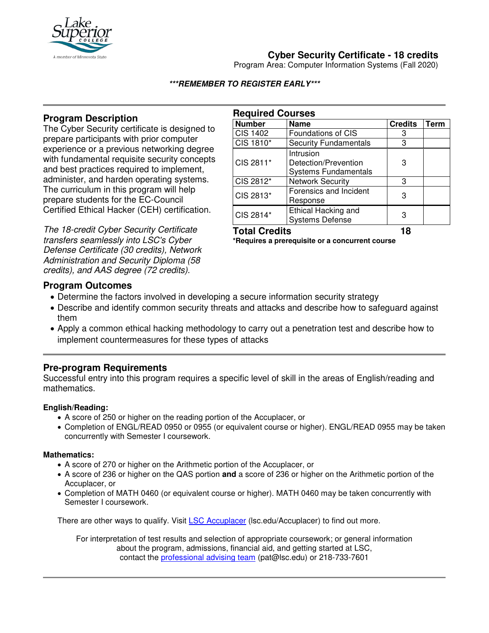

# **Cyber Security Certificate - 18 credits**

Program Area: Computer Information Systems (Fall 2020)

### **\*\*\*REMEMBER TO REGISTER EARLY\*\*\***

## **Program Description**

The Cyber Security certificate is designed to prepare participants with prior computer experience or a previous networking degree with fundamental requisite security concepts and best practices required to implement, administer, and harden operating systems. The curriculum in this program will help prepare students for the EC-Council Certified Ethical Hacker (CEH) certification.

The 18-credit Cyber Security Certificate transfers seamlessly into LSC's Cyber Defense Certificate (30 credits), Network Administration and Security Diploma (58 credits), and AAS degree (72 credits).

| <b>Required Courses</b> |                                                                  |                |      |
|-------------------------|------------------------------------------------------------------|----------------|------|
| <b>Number</b>           | <b>Name</b>                                                      | <b>Credits</b> | Term |
| <b>CIS 1402</b>         | Foundations of CIS                                               | 3              |      |
| CIS 1810*               | <b>Security Fundamentals</b>                                     | 3              |      |
| CIS 2811*               | Intrusion<br>Detection/Prevention<br><b>Systems Fundamentals</b> | 3              |      |
| CIS 2812*               | <b>Network Security</b>                                          | 3              |      |
| CIS 2813*               | Forensics and Incident<br>Response                               | 3              |      |
| CIS 2814*               | Ethical Hacking and<br><b>Systems Defense</b>                    | 3              |      |

### **Total Credits 18**

**\*Requires a prerequisite or a concurrent course**

### **Program Outcomes**

- Determine the factors involved in developing a secure information security strategy
- Describe and identify common security threats and attacks and describe how to safeguard against them
- Apply a common ethical hacking methodology to carry out a penetration test and describe how to implement countermeasures for these types of attacks

### **Pre-program Requirements**

Successful entry into this program requires a specific level of skill in the areas of English/reading and mathematics.

#### **English/Reading:**

- A score of 250 or higher on the reading portion of the Accuplacer, or
- Completion of ENGL/READ 0950 or 0955 (or equivalent course or higher). ENGL/READ 0955 may be taken concurrently with Semester I coursework.

#### **Mathematics:**

- A score of 270 or higher on the Arithmetic portion of the Accuplacer, or
- A score of 236 or higher on the QAS portion **and** a score of 236 or higher on the Arithmetic portion of the Accuplacer, or
- Completion of MATH 0460 (or equivalent course or higher). MATH 0460 may be taken concurrently with Semester I coursework.

There are other ways to qualify. Visit LSC Accuplacer (lsc.edu/Accuplacer) to find out more.

For interpretation of test results and selection of appropriate coursework; or general information about the program, admissions, financial aid, and getting started at LSC, contact the professional advising team (pat@lsc.edu) or 218-733-7601